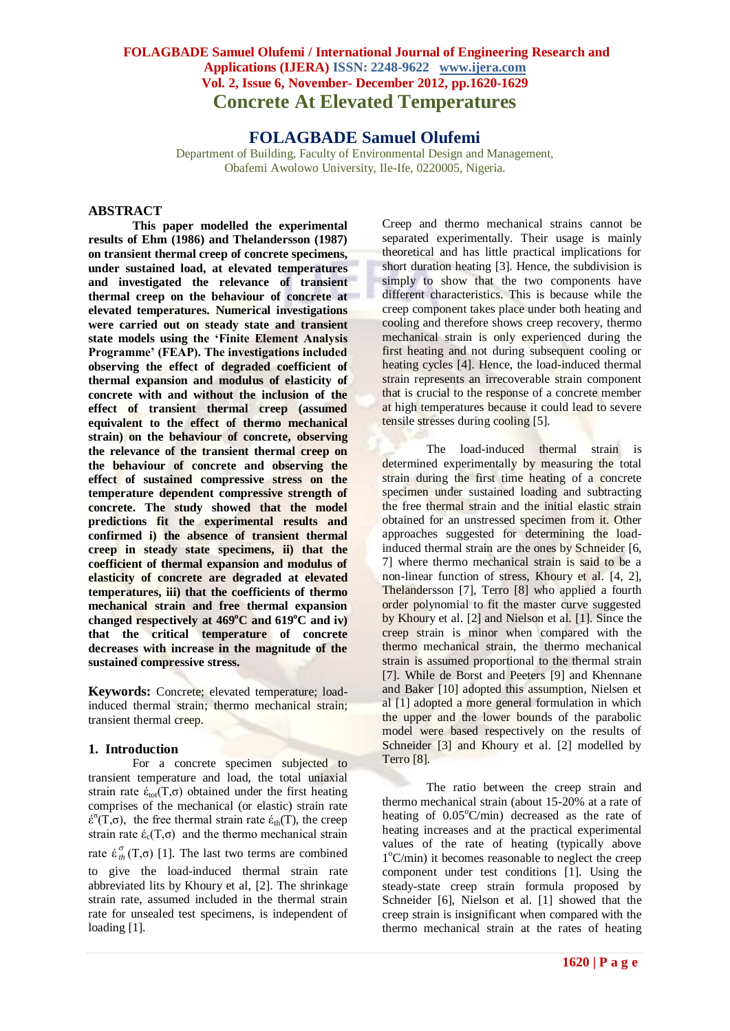# **FOLAGBADE Samuel Olufemi**

Department of Building, Faculty of Environmental Design and Management, Obafemi Awolowo University, Ile-Ife, 0220005, Nigeria.

# **ABSTRACT**

**This paper modelled the experimental results of Ehm (1986) and Thelandersson (1987) on transient thermal creep of concrete specimens, under sustained load, at elevated temperatures and investigated the relevance of transient thermal creep on the behaviour of concrete at elevated temperatures. Numerical investigations were carried out on steady state and transient state models using the 'Finite Element Analysis Programme' (FEAP). The investigations included observing the effect of degraded coefficient of thermal expansion and modulus of elasticity of concrete with and without the inclusion of the effect of transient thermal creep (assumed equivalent to the effect of thermo mechanical strain) on the behaviour of concrete, observing the relevance of the transient thermal creep on the behaviour of concrete and observing the effect of sustained compressive stress on the temperature dependent compressive strength of concrete. The study showed that the model predictions fit the experimental results and confirmed i) the absence of transient thermal creep in steady state specimens, ii) that the coefficient of thermal expansion and modulus of elasticity of concrete are degraded at elevated temperatures, iii) that the coefficients of thermo mechanical strain and free thermal expansion changed respectively at 469<sup>o</sup>C and 619<sup>o</sup>C and iv) that the critical temperature of concrete decreases with increase in the magnitude of the sustained compressive stress.** 

**Keywords:** Concrete; elevated temperature; loadinduced thermal strain; thermo mechanical strain; transient thermal creep.

#### **1. Introduction**

For a concrete specimen subjected to transient temperature and load, the total uniaxial strain rate  $\dot{\epsilon}_{\text{tot}}(T,\sigma)$  obtained under the first heating comprises of the mechanical (or elastic) strain rate  $\acute{\epsilon}^{\sigma}(T,\sigma)$ , the free thermal strain rate έ<sub>th</sub>(T), the creep strain rate  $\acute{\epsilon}_{c}(T,\sigma)$  and the thermo mechanical strain rate  $\acute{\epsilon}_{th}^{\sigma}$  (T, $\sigma$ ) [1]. The last two terms are combined to give the load-induced thermal strain rate abbreviated lits by Khoury et al, [2]. The shrinkage strain rate, assumed included in the thermal strain rate for unsealed test specimens, is independent of loading [1].

Creep and thermo mechanical strains cannot be separated experimentally. Their usage is mainly theoretical and has little practical implications for short duration heating [3]. Hence, the subdivision is simply to show that the two components have different characteristics. This is because while the creep component takes place under both heating and cooling and therefore shows creep recovery, thermo mechanical strain is only experienced during the first heating and not during subsequent cooling or heating cycles [4]. Hence, the load-induced thermal strain represents an irrecoverable strain component that is crucial to the response of a concrete member at high temperatures because it could lead to severe tensile stresses during cooling [5].

The load-induced thermal strain is determined experimentally by measuring the total strain during the first time heating of a concrete specimen under sustained loading and subtracting the free thermal strain and the initial elastic strain obtained for an unstressed specimen from it. Other approaches suggested for determining the loadinduced thermal strain are the ones by Schneider [6, 7] where thermo mechanical strain is said to be a non-linear function of stress, Khoury et al. [4, 2], Thelandersson [7], Terro [8] who applied a fourth order polynomial to fit the master curve suggested by Khoury et al. [2] and Nielson et al. [1]. Since the creep strain is minor when compared with the thermo mechanical strain, the thermo mechanical strain is assumed proportional to the thermal strain [7]. While de Borst and Peeters [9] and Khennane and Baker [10] adopted this assumption, Nielsen et al [1] adopted a more general formulation in which the upper and the lower bounds of the parabolic model were based respectively on the results of Schneider [3] and Khoury et al. [2] modelled by Terro [8].

The ratio between the creep strain and thermo mechanical strain (about 15-20% at a rate of heating of  $0.05^{\circ}$ C/min) decreased as the rate of heating increases and at the practical experimental values of the rate of heating (typically above 1<sup>o</sup>C/min) it becomes reasonable to neglect the creep component under test conditions [1]. Using the steady-state creep strain formula proposed by Schneider [6], Nielson et al. [1] showed that the creep strain is insignificant when compared with the thermo mechanical strain at the rates of heating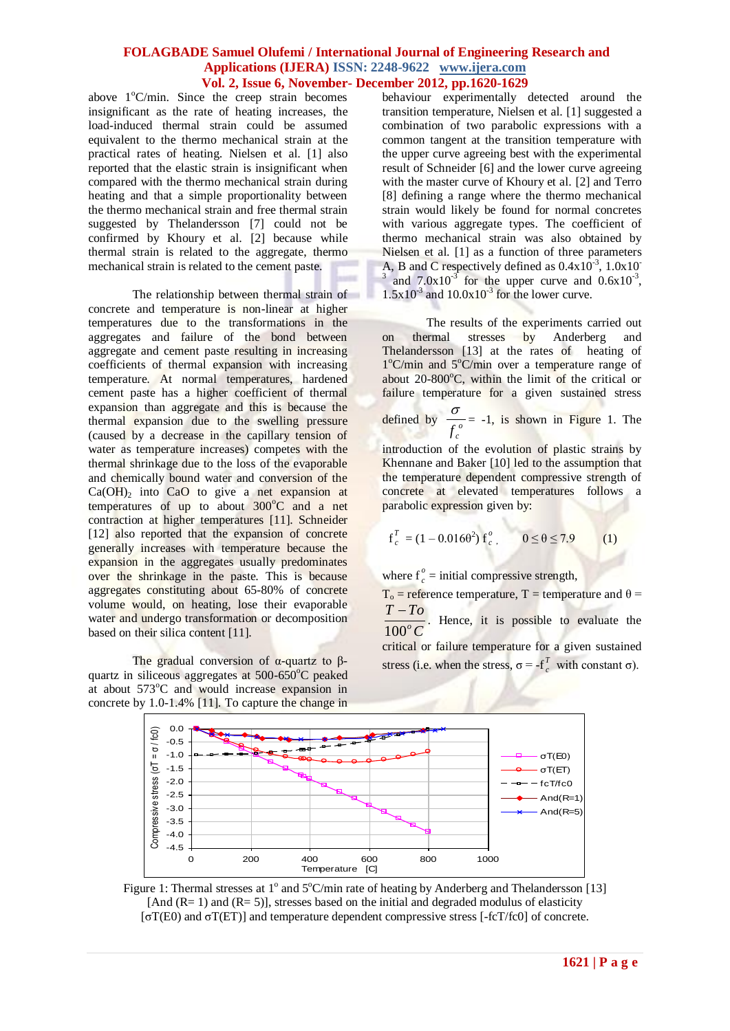above  $1^{\circ}$ C/min. Since the creep strain becomes insignificant as the rate of heating increases, the load-induced thermal strain could be assumed equivalent to the thermo mechanical strain at the practical rates of heating. Nielsen et al. [1] also reported that the elastic strain is insignificant when compared with the thermo mechanical strain during heating and that a simple proportionality between the thermo mechanical strain and free thermal strain suggested by Thelandersson [7] could not be confirmed by Khoury et al. [2] because while thermal strain is related to the aggregate, thermo mechanical strain is related to the cement paste.

The relationship between thermal strain of concrete and temperature is non-linear at higher temperatures due to the transformations in the aggregates and failure of the bond between aggregate and cement paste resulting in increasing coefficients of thermal expansion with increasing temperature. At normal temperatures, hardened cement paste has a higher coefficient of thermal expansion than aggregate and this is because the thermal expansion due to the swelling pressure (caused by a decrease in the capillary tension of water as temperature increases) competes with the thermal shrinkage due to the loss of the evaporable and chemically bound water and conversion of the  $Ca(OH)$ <sub>2</sub> into CaO to give a net expansion at temperatures of up to about  $300^{\circ}$ C and a net contraction at higher temperatures [11]. Schneider [12] also reported that the expansion of concrete generally increases with temperature because the expansion in the aggregates usually predominates over the shrinkage in the paste. This is because aggregates constituting about 65-80% of concrete volume would, on heating, lose their evaporable water and undergo transformation or decomposition based on their silica content [11].

The gradual conversion of  $α$ -quartz to  $β$ quartz in siliceous aggregates at 500-650°C peaked at about  $573^{\circ}$ C and would increase expansion in concrete by 1.0-1.4% [11]. To capture the change in

behaviour experimentally detected around the transition temperature, Nielsen et al. [1] suggested a combination of two parabolic expressions with a common tangent at the transition temperature with the upper curve agreeing best with the experimental result of Schneider [6] and the lower curve agreeing with the master curve of Khoury et al. [2] and Terro [8] defining a range where the thermo mechanical strain would likely be found for normal concretes with various aggregate types. The coefficient of thermo mechanical strain was also obtained by Nielsen et al. [1] as a function of three parameters A, B and C respectively defined as  $0.4 \times 10^{-3}$ ,  $1.0 \times 10^{-3}$ <sup>3</sup> and  $7.0x10^{-3}$  for the upper curve and  $0.6x10^{-3}$ ,  $1.5x10^3$  and  $10.0x10^3$  for the lower curve.

The results of the experiments carried out on thermal stresses by Anderberg and Thelandersson [13] at the rates of heating of 1°C/min and 5°C/min over a temperature range of about  $20-800^{\circ}$ C, within the limit of the critical or failure temperature for a given sustained stress

defined by  $\frac{0}{f}$  $f_c$  $\frac{\sigma}{\sigma}$  = -1, is shown in Figure 1. The

introduction of the evolution of plastic strains by Khennane and Baker [10] led to the assumption that the temperature dependent compressive strength of concrete at elevated temperatures follows a parabolic expression given by:

$$
f_c^T = (1 - 0.016\theta^2) f_c^o
$$
,  $0 \le \theta \le 7.9$  (1)

where  $f_c^{\circ}$  $c<sub>c</sub><sup>o</sup>$  = initial compressive strength,

 $T_0$  = reference temperature, T = temperature and  $\theta$  = *C T To*  $100^o$  $\frac{-T_0}{\sqrt{2}}$ . Hence, it is possible to evaluate the critical or failure temperature for a given sustained stress (i.e. when the stress,  $\sigma = -f_c^T$  $\int_{c}^{L}$  with constant σ).



Figure 1: Thermal stresses at 1<sup>o</sup> and 5°C/min rate of heating by Anderberg and Thelandersson [13] [And  $(R= 1)$  and  $(R= 5)$ ], stresses based on the initial and degraded modulus of elasticity [σT(E0) and σT(ET)] and temperature dependent compressive stress [-fcT/fc0] of concrete.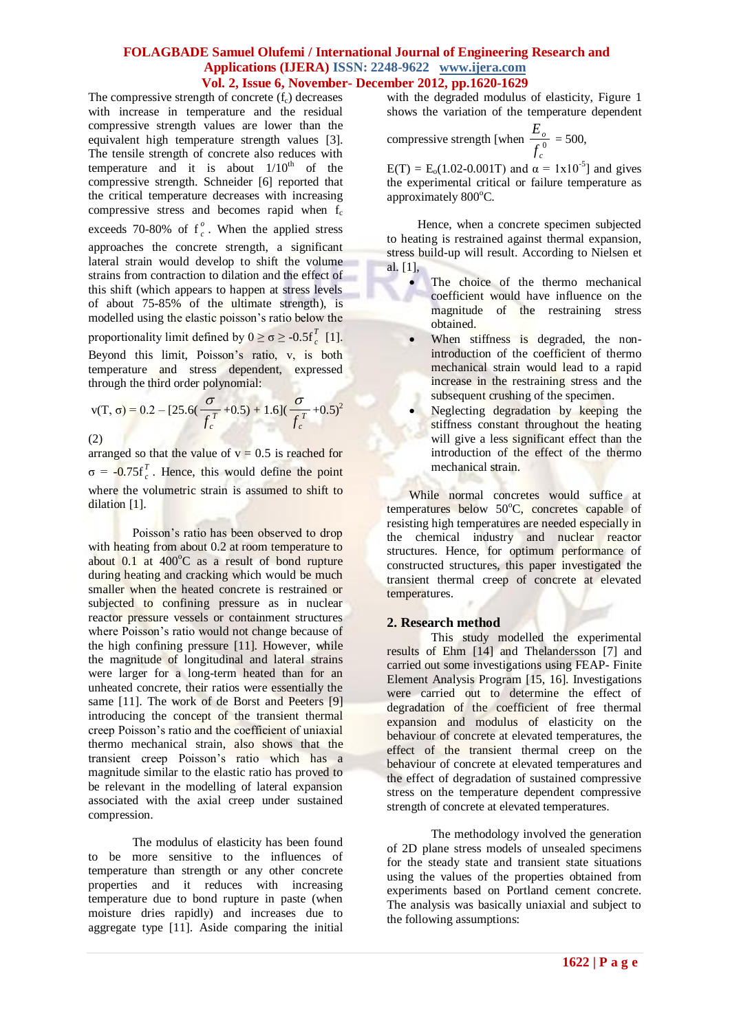The compressive strength of concrete  $(f<sub>c</sub>)$  decreases with increase in temperature and the residual compressive strength values are lower than the equivalent high temperature strength values [3]. The tensile strength of concrete also reduces with temperature and it is about  $1/10^{th}$  of the compressive strength. Schneider [6] reported that the critical temperature decreases with increasing compressive stress and becomes rapid when  $f_c$ exceeds 70-80% of  $f_c^{\circ}$  $\int_{c}^{b}$ . When the applied stress approaches the concrete strength, a significant lateral strain would develop to shift the volume strains from contraction to dilation and the effect of this shift (which appears to happen at stress levels of about 75-85% of the ultimate strength), is modelled using the elastic poisson's ratio below the proportionality limit defined by  $0 \ge \sigma \ge -0.5f$  $\int_{c}^{L}$  [1]. Beyond this limit, Poisson's ratio, v, is both temperature and stress dependent, expressed through the third order polynomial:

$$
v(T, \sigma) = 0.2 - [25.6(\frac{\sigma}{f_c^T} + 0.5) + 1.6](\frac{\sigma}{f_c^T} + 0.5)^2
$$

(2)

arranged so that the value of  $v = 0.5$  is reached for  $σ = -0.75f$ <sub>c</sub><sup>T</sup>  $c<sup>t</sup>$ . Hence, this would define the point where the volumetric strain is assumed to shift to dilation [1].

Poisson's ratio has been observed to drop with heating from about 0.2 at room temperature to about  $0.1$  at  $400^{\circ}$ C as a result of bond rupture during heating and cracking which would be much smaller when the heated concrete is restrained or subjected to confining pressure as in nuclear reactor pressure vessels or containment structures where Poisson's ratio would not change because of the high confining pressure [11]. However, while the magnitude of longitudinal and lateral strains were larger for a long-term heated than for an unheated concrete, their ratios were essentially the same [11]. The work of de Borst and Peeters [9] introducing the concept of the transient thermal creep Poisson's ratio and the coefficient of uniaxial thermo mechanical strain, also shows that the transient creep Poisson's ratio which has a magnitude similar to the elastic ratio has proved to be relevant in the modelling of lateral expansion associated with the axial creep under sustained compression.

The modulus of elasticity has been found to be more sensitive to the influences of temperature than strength or any other concrete properties and it reduces with increasing temperature due to bond rupture in paste (when moisture dries rapidly) and increases due to aggregate type [11]. Aside comparing the initial

with the degraded modulus of elasticity, Figure 1 shows the variation of the temperature dependent

compressive strength [when  $\frac{-\delta}{f^0}$ *c o f*  $\frac{E_o}{E}$  = 500,

 $E(T) = E_0(1.02 - 0.001T)$  and  $\alpha = 1 \times 10^{-5}$ ] and gives the experimental critical or failure temperature as approximately 800°C.

 Hence, when a concrete specimen subjected to heating is restrained against thermal expansion, stress build-up will result. According to Nielsen et al. [1],

- The choice of the thermo mechanical coefficient would have influence on the magnitude of the restraining stress obtained.
- When stiffness is degraded, the nonintroduction of the coefficient of thermo mechanical strain would lead to a rapid increase in the restraining stress and the subsequent crushing of the specimen.
- Neglecting degradation by keeping the stiffness constant throughout the heating will give a less significant effect than the introduction of the effect of the thermo mechanical strain.

While normal concretes would suffice at temperatures below  $50^{\circ}$ C, concretes capable of resisting high temperatures are needed especially in the chemical industry and nuclear reactor structures. Hence, for optimum performance of constructed structures, this paper investigated the transient thermal creep of concrete at elevated temperatures.

# **2. Research method**

This study modelled the experimental results of Ehm [14] and Thelandersson [7] and carried out some investigations using FEAP- Finite Element Analysis Program [15, 16]. Investigations were carried out to determine the effect of degradation of the coefficient of free thermal expansion and modulus of elasticity on the behaviour of concrete at elevated temperatures, the effect of the transient thermal creep on the behaviour of concrete at elevated temperatures and the effect of degradation of sustained compressive stress on the temperature dependent compressive strength of concrete at elevated temperatures.

The methodology involved the generation of 2D plane stress models of unsealed specimens for the steady state and transient state situations using the values of the properties obtained from experiments based on Portland cement concrete. The analysis was basically uniaxial and subject to the following assumptions: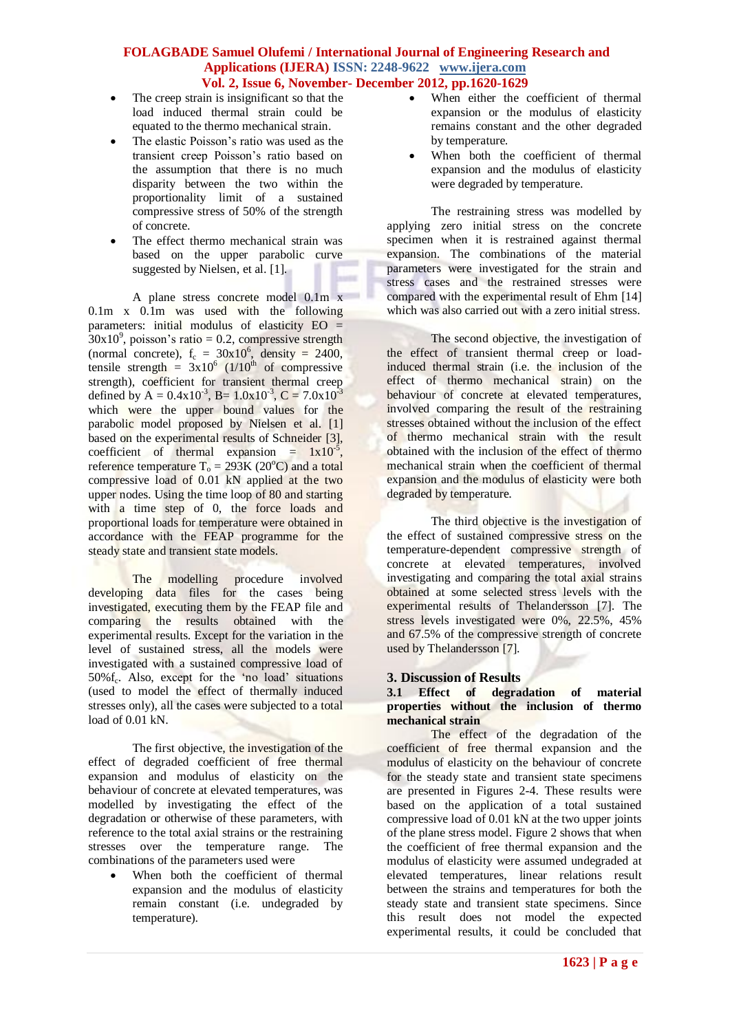- The creep strain is insignificant so that the load induced thermal strain could be equated to the thermo mechanical strain.
- The elastic Poisson's ratio was used as the transient creep Poisson's ratio based on the assumption that there is no much disparity between the two within the proportionality limit of a sustained compressive stress of 50% of the strength of concrete.
- The effect thermo mechanical strain was based on the upper parabolic curve suggested by Nielsen, et al. [1].

A plane stress concrete model 0.1m x 0.1m x 0.1m was used with the following parameters: initial modulus of elasticity EO =  $30x10^9$ , poisson's ratio = 0.2, compressive strength (normal concrete),  $f_c = 30x10^6$ , density = 2400, tensile strength =  $3x10^6$  (1/10<sup>th</sup> of compressive strength), coefficient for transient thermal creep defined by A =  $0.4x10^{-3}$ , B=  $1.0x10^{-3}$ , C =  $7.0x10^{-3}$ which were the upper bound values for the parabolic model proposed by Nielsen et al. [1] based on the experimental results of Schneider [3], coefficient of thermal expansion =  $1x10^{-5}$ , reference temperature  $T_0 = 293K (20^{\circ}C)$  and a total compressive load of 0.01 kN applied at the two upper nodes. Using the time loop of 80 and starting with a time step of 0, the force loads and proportional loads for temperature were obtained in accordance with the FEAP programme for the steady state and transient state models.

The modelling procedure involved developing data files for the cases being investigated, executing them by the FEAP file and comparing the results obtained with the experimental results. Except for the variation in the level of sustained stress, all the models were investigated with a sustained compressive load of 50%f<sub>c</sub>. Also, except for the 'no load' situations (used to model the effect of thermally induced stresses only), all the cases were subjected to a total load of  $0.01 \text{ kN}$ .

The first objective, the investigation of the effect of degraded coefficient of free thermal expansion and modulus of elasticity on the behaviour of concrete at elevated temperatures, was modelled by investigating the effect of the degradation or otherwise of these parameters, with reference to the total axial strains or the restraining stresses over the temperature range. The combinations of the parameters used were

 When both the coefficient of thermal expansion and the modulus of elasticity remain constant (i.e. undegraded by temperature).

- When either the coefficient of thermal expansion or the modulus of elasticity remains constant and the other degraded by temperature.
- When both the coefficient of thermal expansion and the modulus of elasticity were degraded by temperature.

The restraining stress was modelled by applying zero initial stress on the concrete specimen when it is restrained against thermal expansion. The combinations of the material parameters were investigated for the strain and stress cases and the restrained stresses were compared with the experimental result of Ehm [14] which was also carried out with a zero initial stress.

The second objective, the investigation of the effect of transient thermal creep or loadinduced thermal strain (i.e. the inclusion of the effect of thermo mechanical strain) on the behaviour of concrete at elevated temperatures, involved comparing the result of the restraining stresses obtained without the inclusion of the effect of thermo mechanical strain with the result obtained with the inclusion of the effect of thermo mechanical strain when the coefficient of thermal expansion and the modulus of elasticity were both degraded by temperature.

The third objective is the investigation of the effect of sustained compressive stress on the temperature-dependent compressive strength of concrete at elevated temperatures, involved investigating and comparing the total axial strains obtained at some selected stress levels with the experimental results of Thelandersson [7]. The stress levels investigated were 0%, 22.5%, 45% and 67.5% of the compressive strength of concrete used by Thelandersson [7].

# **3. Discussion of Results**

#### **3.1 Effect of degradation of material properties without the inclusion of thermo mechanical strain**

The effect of the degradation of the coefficient of free thermal expansion and the modulus of elasticity on the behaviour of concrete for the steady state and transient state specimens are presented in Figures 2-4. These results were based on the application of a total sustained compressive load of 0.01 kN at the two upper joints of the plane stress model. Figure 2 shows that when the coefficient of free thermal expansion and the modulus of elasticity were assumed undegraded at elevated temperatures, linear relations result between the strains and temperatures for both the steady state and transient state specimens. Since this result does not model the expected experimental results, it could be concluded that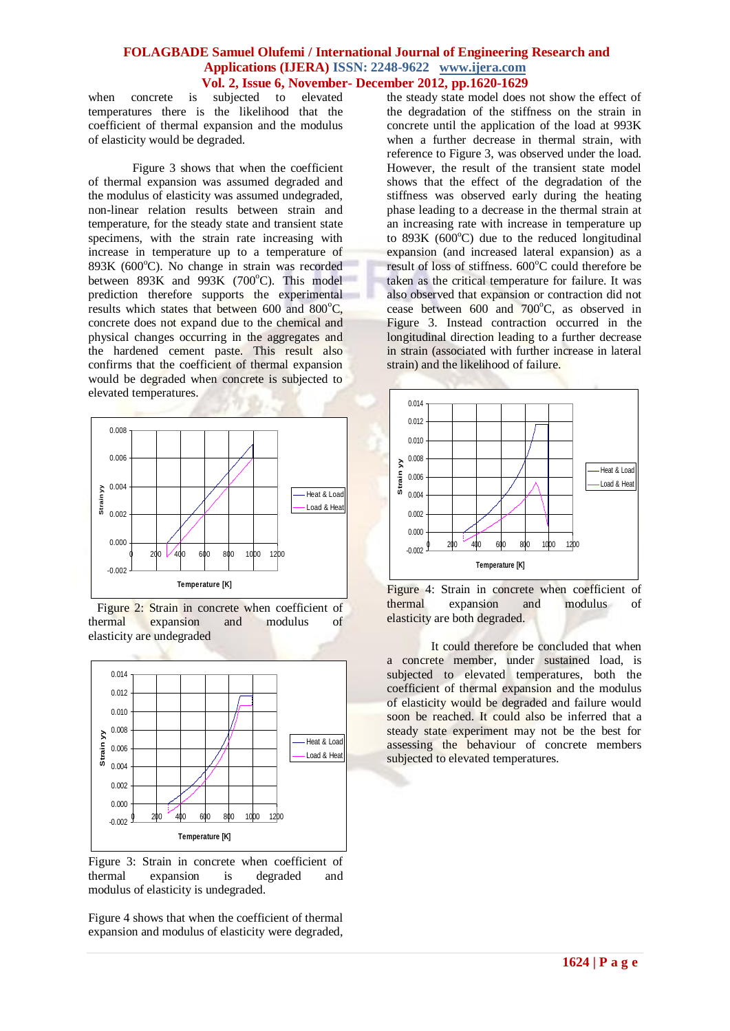when concrete is subjected to elevated temperatures there is the likelihood that the coefficient of thermal expansion and the modulus of elasticity would be degraded.

Figure 3 shows that when the coefficient of thermal expansion was assumed degraded and the modulus of elasticity was assumed undegraded, non-linear relation results between strain and temperature, for the steady state and transient state specimens, with the strain rate increasing with increase in temperature up to a temperature of  $893K$  (600 $^{\circ}$ C). No change in strain was recorded between  $893K$  and  $993K$  (700°C). This model prediction therefore supports the experimental results which states that between  $600$  and  $800^{\circ}$ C, concrete does not expand due to the chemical and physical changes occurring in the aggregates and the hardened cement paste. This result also confirms that the coefficient of thermal expansion would be degraded when concrete is subjected to elevated temperatures.



 Figure 2: Strain in concrete when coefficient of thermal expansion and modulus of elasticity are undegraded



Figure 3: Strain in concrete when coefficient of thermal expansion is degraded and modulus of elasticity is undegraded.

Figure 4 shows that when the coefficient of thermal expansion and modulus of elasticity were degraded, the steady state model does not show the effect of the degradation of the stiffness on the strain in concrete until the application of the load at 993K when a further decrease in thermal strain, with reference to Figure 3, was observed under the load. However, the result of the transient state model shows that the effect of the degradation of the stiffness was observed early during the heating phase leading to a decrease in the thermal strain at an increasing rate with increase in temperature up to  $893K$  ( $600^{\circ}$ C) due to the reduced longitudinal expansion (and increased lateral expansion) as a result of loss of stiffness. 600°C could therefore be taken as the critical temperature for failure. It was also observed that expansion or contraction did not cease between  $600$  and  $700^{\circ}$ C, as observed in Figure 3. Instead contraction occurred in the longitudinal direction leading to a further decrease in strain (associated with further increase in lateral strain) and the likelihood of failure.





It could therefore be concluded that when a concrete member, under sustained load, is subjected to elevated temperatures, both the coefficient of thermal expansion and the modulus of elasticity would be degraded and failure would soon be reached. It could also be inferred that a steady state experiment may not be the best for assessing the behaviour of concrete members subjected to elevated temperatures.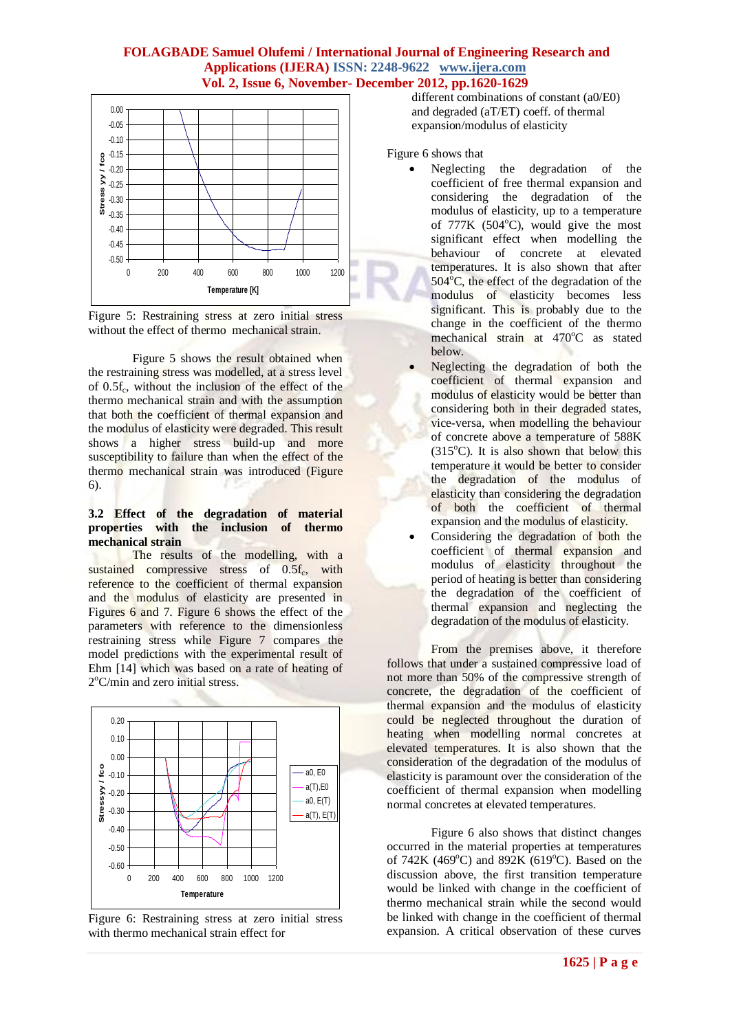



Figure 5 shows the result obtained when the restraining stress was modelled, at a stress level of 0.5f<sub>c</sub>, without the inclusion of the effect of the thermo mechanical strain and with the assumption that both the coefficient of thermal expansion and the modulus of elasticity were degraded. This result shows a higher stress build-up and more susceptibility to failure than when the effect of the thermo mechanical strain was introduced (Figure 6).

#### **3.2 Effect of the degradation of material properties with the inclusion of thermo mechanical strain**

The results of the modelling, with a sustained compressive stress of 0.5f<sub>c</sub>, with reference to the coefficient of thermal expansion and the modulus of elasticity are presented in Figures 6 and 7. Figure 6 shows the effect of the parameters with reference to the dimensionless restraining stress while Figure 7 compares the model predictions with the experimental result of Ehm [14] which was based on a rate of heating of 2°C/min and zero initial stress.



Figure 6: Restraining stress at zero initial stress with thermo mechanical strain effect for

 different combinations of constant (a0/E0) and degraded (aT/ET) coeff. of thermal expansion/modulus of elasticity

Figure 6 shows that

- Neglecting the degradation of the coefficient of free thermal expansion and considering the degradation of the modulus of elasticity, up to a temperature of  $777K$  ( $504^{\circ}$ C), would give the most significant effect when modelling the behaviour of concrete at elevated temperatures. It is also shown that after  $504^{\circ}$ C, the effect of the degradation of the modulus of elasticity becomes less significant. This is probably due to the change in the coefficient of the thermo mechanical strain at 470°C as stated below.
- Neglecting the degradation of both the coefficient of thermal expansion and modulus of elasticity would be better than considering both in their degraded states, vice-versa, when modelling the behaviour of concrete above a temperature of 588K  $(315^{\circ}C)$ . It is also shown that below this temperature it would be better to consider the degradation of the modulus of elasticity than considering the degradation of both the coefficient of thermal expansion and the modulus of elasticity.
- Considering the degradation of both the coefficient of thermal expansion and modulus of elasticity throughout the period of heating is better than considering the degradation of the coefficient of thermal expansion and neglecting the degradation of the modulus of elasticity.

From the premises above, it therefore follows that under a sustained compressive load of not more than 50% of the compressive strength of concrete, the degradation of the coefficient of thermal expansion and the modulus of elasticity could be neglected throughout the duration of heating when modelling normal concretes at elevated temperatures. It is also shown that the consideration of the degradation of the modulus of elasticity is paramount over the consideration of the coefficient of thermal expansion when modelling normal concretes at elevated temperatures.

Figure 6 also shows that distinct changes occurred in the material properties at temperatures of 742K (469 $^{\circ}$ C) and 892K (619 $^{\circ}$ C). Based on the discussion above, the first transition temperature would be linked with change in the coefficient of thermo mechanical strain while the second would be linked with change in the coefficient of thermal expansion. A critical observation of these curves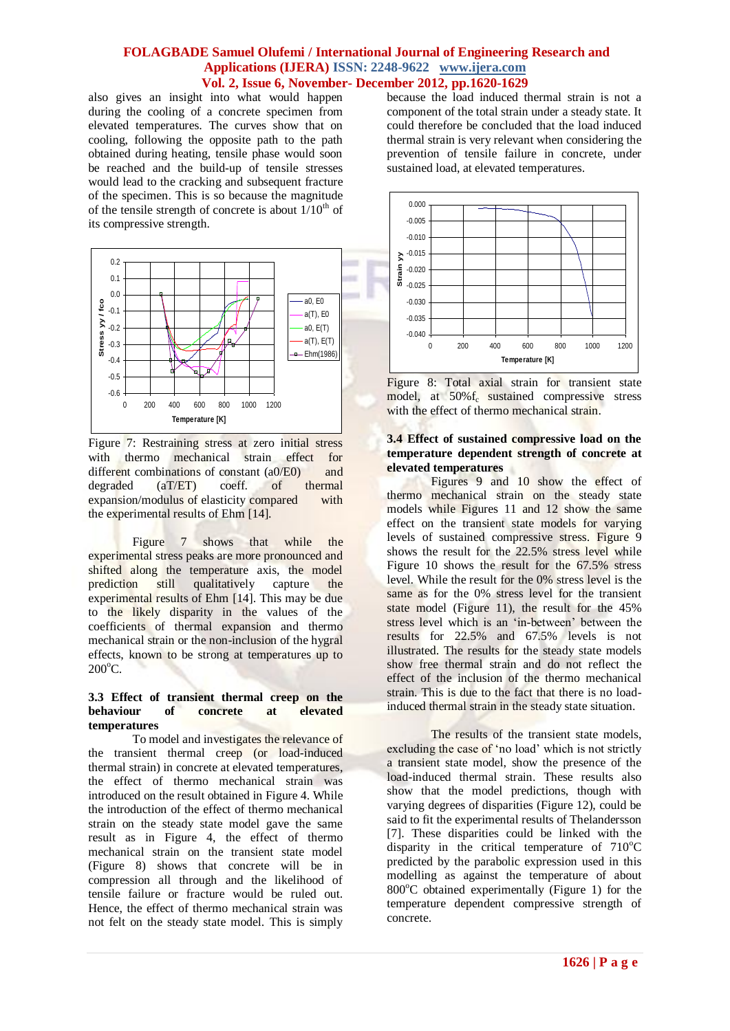also gives an insight into what would happen during the cooling of a concrete specimen from elevated temperatures. The curves show that on cooling, following the opposite path to the path obtained during heating, tensile phase would soon be reached and the build-up of tensile stresses would lead to the cracking and subsequent fracture of the specimen. This is so because the magnitude of the tensile strength of concrete is about  $1/10^{th}$  of its compressive strength.



Figure 7: Restraining stress at zero initial stress with thermo mechanical strain effect for different combinations of constant (a0/E0) and degraded (aT/ET) coeff. of thermal expansion/modulus of elasticity compared with the experimental results of Ehm [14].

Figure 7 shows that while the experimental stress peaks are more pronounced and shifted along the temperature axis, the model prediction still qualitatively capture the experimental results of Ehm [14]. This may be due to the likely disparity in the values of the coefficients of thermal expansion and thermo mechanical strain or the non-inclusion of the hygral effects, known to be strong at temperatures up to  $200^{\circ}$ C.

#### **3.3 Effect of transient thermal creep on the behaviour of concrete at elevated temperatures**

To model and investigates the relevance of the transient thermal creep (or load-induced thermal strain) in concrete at elevated temperatures, the effect of thermo mechanical strain was introduced on the result obtained in Figure 4. While the introduction of the effect of thermo mechanical strain on the steady state model gave the same result as in Figure 4, the effect of thermo mechanical strain on the transient state model (Figure 8) shows that concrete will be in compression all through and the likelihood of tensile failure or fracture would be ruled out. Hence, the effect of thermo mechanical strain was not felt on the steady state model. This is simply

because the load induced thermal strain is not a component of the total strain under a steady state. It could therefore be concluded that the load induced thermal strain is very relevant when considering the prevention of tensile failure in concrete, under sustained load, at elevated temperatures.





#### **3.4 Effect of sustained compressive load on the temperature dependent strength of concrete at elevated temperatures**

Figures 9 and 10 show the effect of thermo mechanical strain on the steady state models while Figures 11 and 12 show the same effect on the transient state models for varying levels of sustained compressive stress. Figure 9 shows the result for the 22.5% stress level while Figure 10 shows the result for the 67.5% stress level. While the result for the 0% stress level is the same as for the 0% stress level for the transient state model (Figure 11), the result for the 45% stress level which is an 'in-between' between the results for 22.5% and 67.5% levels is not illustrated. The results for the steady state models show free thermal strain and do not reflect the effect of the inclusion of the thermo mechanical strain. This is due to the fact that there is no loadinduced thermal strain in the steady state situation.

The results of the transient state models, excluding the case of 'no load' which is not strictly a transient state model, show the presence of the load-induced thermal strain. These results also show that the model predictions, though with varying degrees of disparities (Figure 12), could be said to fit the experimental results of Thelandersson [7]. These disparities could be linked with the disparity in the critical temperature of  $710^{\circ}$ C predicted by the parabolic expression used in this modelling as against the temperature of about  $800^{\circ}$ C obtained experimentally (Figure 1) for the temperature dependent compressive strength of concrete.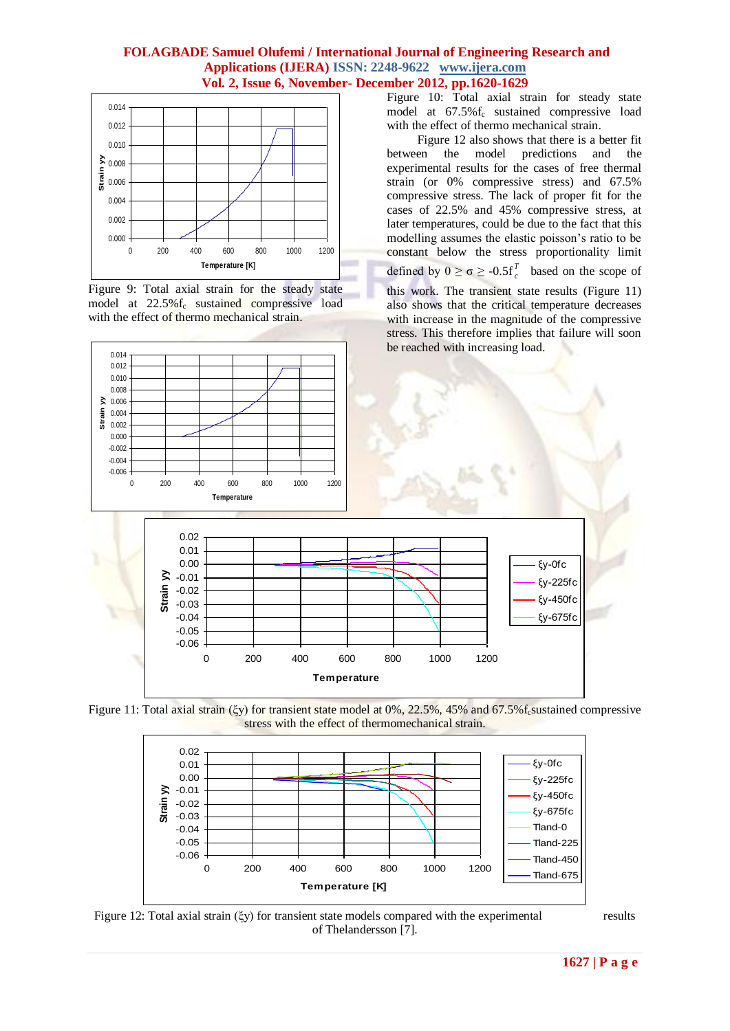

Figure 9: Total axial strain for the steady state model at 22.5%f<sub>c</sub> sustained compressive load with the effect of thermo mechanical strain.

Figure 10: Total axial strain for steady state model at  $67.5\%$  f<sub>c</sub> sustained compressive load with the effect of thermo mechanical strain.

 Figure 12 also shows that there is a better fit between the model predictions and the experimental results for the cases of free thermal strain (or 0% compressive stress) and 67.5% compressive stress. The lack of proper fit for the cases of 22.5% and 45% compressive stress, at later temperatures, could be due to the fact that this modelling assumes the elastic poisson's ratio to be constant below the stress proportionality limit defined by  $0 \ge \sigma \ge -0.5f$ <sub>c</sub><sup>7</sup>  $\int_{c}^{L}$  based on the scope of this work. The transient state results (Figure 11) also shows that the critical temperature decreases with increase in the magnitude of the compressive stress. This therefore implies that failure will soon be reached with increasing load.







Figure 12: Total axial strain (ξy) for transient state models compared with the experimental results of Thelandersson [7].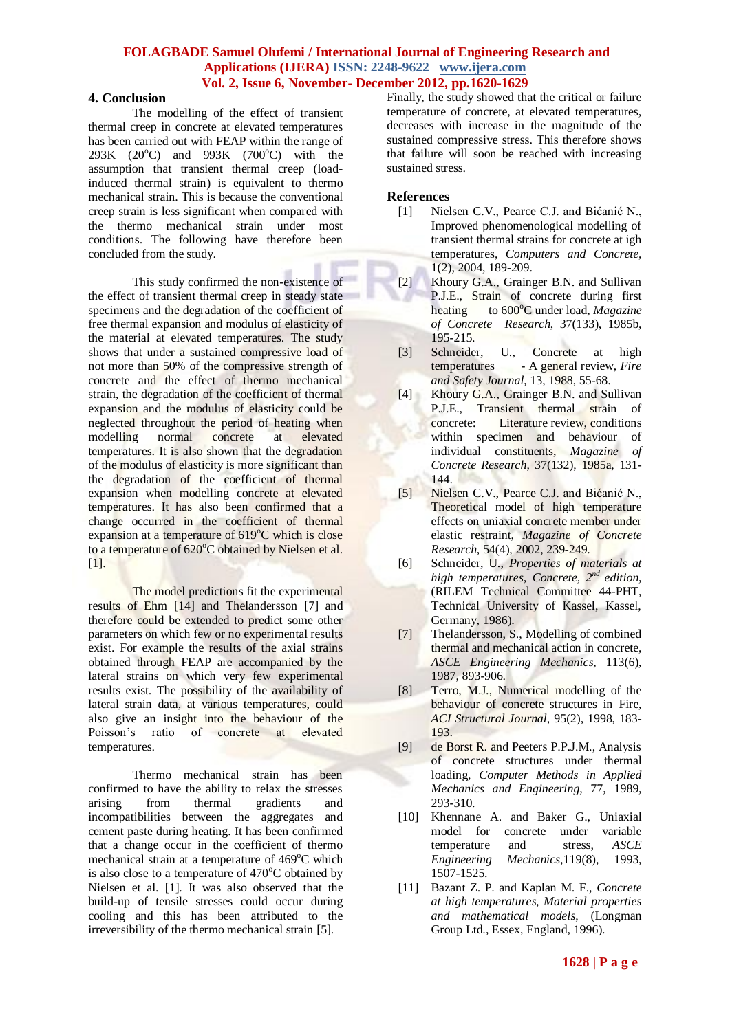#### **4. Conclusion**

The modelling of the effect of transient thermal creep in concrete at elevated temperatures has been carried out with FEAP within the range of 293K (20 $^{\circ}$ C) and 993K (700 $^{\circ}$ C) with the assumption that transient thermal creep (loadinduced thermal strain) is equivalent to thermo mechanical strain. This is because the conventional creep strain is less significant when compared with the thermo mechanical strain under most conditions. The following have therefore been concluded from the study.

This study confirmed the non-existence of the effect of transient thermal creep in steady state specimens and the degradation of the coefficient of free thermal expansion and modulus of elasticity of the material at elevated temperatures. The study shows that under a sustained compressive load of not more than 50% of the compressive strength of concrete and the effect of thermo mechanical strain, the degradation of the coefficient of thermal expansion and the modulus of elasticity could be neglected throughout the period of heating when modelling normal concrete at elevated temperatures. It is also shown that the degradation of the modulus of elasticity is more significant than the degradation of the coefficient of thermal expansion when modelling concrete at elevated temperatures. It has also been confirmed that a change occurred in the coefficient of thermal expansion at a temperature of  $619^{\circ}$ C which is close to a temperature of  $620^{\circ}$ C obtained by Nielsen et al. [1].

The model predictions fit the experimental results of Ehm [14] and Thelandersson [7] and therefore could be extended to predict some other parameters on which few or no experimental results exist. For example the results of the axial strains obtained through FEAP are accompanied by the lateral strains on which very few experimental results exist. The possibility of the availability of lateral strain data, at various temperatures, could also give an insight into the behaviour of the Poisson's ratio of concrete at elevated temperatures.

Thermo mechanical strain has been confirmed to have the ability to relax the stresses arising from thermal gradients and incompatibilities between the aggregates and cement paste during heating. It has been confirmed that a change occur in the coefficient of thermo mechanical strain at a temperature of  $469^{\circ}$ C which is also close to a temperature of  $470^{\circ}$ C obtained by Nielsen et al. [1]. It was also observed that the build-up of tensile stresses could occur during cooling and this has been attributed to the irreversibility of the thermo mechanical strain [5].

Finally, the study showed that the critical or failure temperature of concrete, at elevated temperatures, decreases with increase in the magnitude of the sustained compressive stress. This therefore shows that failure will soon be reached with increasing sustained stress.

#### **References**

- [1] Nielsen C.V., Pearce C.J. and Bićanić N., Improved phenomenological modelling of transient thermal strains for concrete at igh temperatures, *Computers and Concrete*, 1(2), 2004, 189-209.
- [2] Khoury G.A., Grainger B.N. and Sullivan P.J.E., Strain of concrete during first heating to  $600^{\circ}$ C under load, *Magazine of Concrete Research*, 37(133), 1985b, 195-215.
- [3] Schneider, U., Concrete at high temperatures - A general review, *Fire and Safety Journal*, 13, 1988, 55-68.
- [4] Khoury G.A., Grainger B.N. and Sullivan P.J.E., Transient thermal strain of concrete: Literature review, conditions within specimen and behaviour of individual constituents, *Magazine of Concrete Research*, 37(132), 1985a, 131- 144.
- [5] Nielsen C.V., Pearce C.J. and Bićanić N., Theoretical model of high temperature effects on uniaxial concrete member under elastic restraint, *Magazine of Concrete Research*, 54(4), 2002, 239-249.
- [6] Schneider, U., *Properties of materials at high temperatures, Concrete, 2nd edition*, (RILEM Technical Committee 44-PHT, Technical University of Kassel, Kassel, Germany, 1986).
- [7] Thelandersson, S., Modelling of combined thermal and mechanical action in concrete, *ASCE Engineering Mechanics*, 113(6), 1987, 893-906.
- [8] Terro, M.J., Numerical modelling of the behaviour of concrete structures in Fire, *ACI Structural Journal*, 95(2), 1998, 183- 193.
- [9] de Borst R. and Peeters P.P.J.M., Analysis of concrete structures under thermal loading, *Computer Methods in Applied Mechanics and Engineering*, 77, 1989, 293-310.
- [10] Khennane A. and Baker G., Uniaxial model for concrete under variable temperature and stress, *ASCE Engineering Mechanics*,119(8), 1993, 1507-1525.
- [11] Bazant Z. P. and Kaplan M. F., *Concrete at high temperatures, Material properties and mathematical models*, (Longman Group Ltd., Essex, England, 1996).